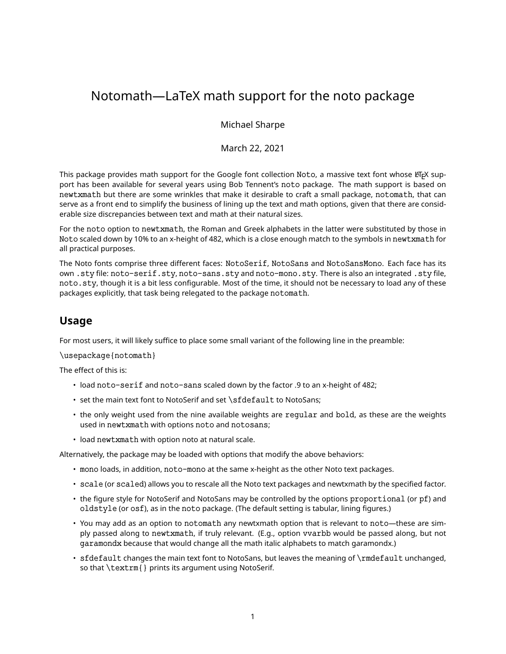# Notomath—LaTeX math support for the noto package

Michael Sharpe

March 22, 2021

This package provides math support for the Google font collection Noto, a massive text font whose LATEX support has been available for several years using Bob Tennent's noto package. The math support is based on newtxmath but there are some wrinkles that make it desirable to craft a small package, notomath, that can serve as a front end to simplify the business of lining up the text and math options, given that there are considerable size discrepancies between text and math at their natural sizes.

For the noto option to newtxmath, the Roman and Greek alphabets in the latter were substituted by those in Noto scaled down by 10% to an x-height of 482, which is a close enough match to the symbols in newtxmath for all practical purposes.

The Noto fonts comprise three different faces: NotoSerif, NotoSans and NotoSansMono. Each face has its own .sty file: noto-serif.sty, noto-sans.sty and noto-mono.sty. There is also an integrated .sty file, noto.sty, though it is a bit less configurable. Most of the time, it should not be necessary to load any of these packages explicitly, that task being relegated to the package notomath.

# **Usage**

For most users, it will likely suffice to place some small variant of the following line in the preamble:

\usepackage{notomath}

The effect of this is:

- load noto-serif and noto-sans scaled down by the factor .9 to an x-height of 482;
- set the main text font to NotoSerif and set \sfdefault to NotoSans;
- the only weight used from the nine available weights are regular and bold, as these are the weights used in newtxmath with options noto and notosans;
- load newtxmath with option noto at natural scale.

Alternatively, the package may be loaded with options that modify the above behaviors:

- mono loads, in addition, noto-mono at the same x-height as the other Noto text packages.
- scale (or scaled) allows you to rescale all the Noto text packages and newtxmath by the specified factor.
- the figure style for NotoSerif and NotoSans may be controlled by the options proportional (or pf) and oldstyle (or osf), as in the noto package. (The default setting is tabular, lining figures.)
- You may add as an option to notomath any newtxmath option that is relevant to noto—these are simply passed along to newtxmath, if truly relevant. (E.g., option vvarbb would be passed along, but not garamondx because that would change all the math italic alphabets to match garamondx.)
- sfdefault changes the main text font to NotoSans, but leaves the meaning of \rmdefault unchanged, so that \textrm{} prints its argument using NotoSerif.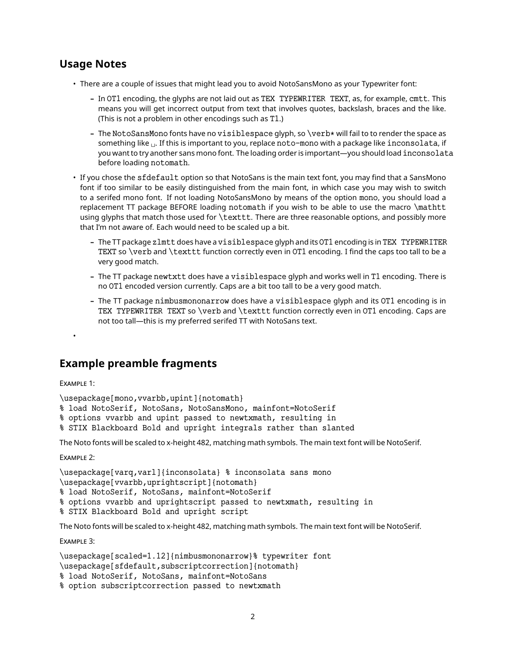# **Usage Notes**

- There are a couple of issues that might lead you to avoid NotoSansMono as your Typewriter font:
	- **–** In OT1 encoding, the glyphs are not laid out as TEX TYPEWRITER TEXT, as, for example, cmtt. This means you will get incorrect output from text that involves quotes, backslash, braces and the like. (This is not a problem in other encodings such as T1.)
	- **–** The NotoSansMono fonts have no visiblespace glyph, so \verb⁎ will fail to to render the space as something like  $\mu$ . If this is important to you, replace noto-mono with a package like inconsolata, if you want to try another sans mono font. The loading order is important—you should load inconsolata before loading notomath.
- If you chose the sfdefault option so that NotoSans is the main text font, you may find that a SansMono font if too similar to be easily distinguished from the main font, in which case you may wish to switch to a serifed mono font. If not loading NotoSansMono by means of the option mono, you should load a replacement TT package BEFORE loading notomath if you wish to be able to use the macro \mathtt using glyphs that match those used for \texttt. There are three reasonable options, and possibly more that I'm not aware of. Each would need to be scaled up a bit.
	- **–** The TT package zlmtt does have a visiblespace glyph and its OT1 encoding is in TEX TYPEWRITER TEXT so \verb and \texttt function correctly even in OT1 encoding. I find the caps too tall to be a very good match.
	- **–** The TT package newtxtt does have a visiblespace glyph and works well in T1 encoding. There is no OT1 encoded version currently. Caps are a bit too tall to be a very good match.
	- **–** The TT package nimbusmononarrow does have a visiblespace glyph and its OT1 encoding is in TEX TYPEWRITER TEXT so \verb and \texttt function correctly even in OT1 encoding. Caps are not too tall—this is my preferred serifed TT with NotoSans text.

# **Example preamble fragments**

Example 1:

•

\usepackage[mono,vvarbb,upint]{notomath}

% load NotoSerif, NotoSans, NotoSansMono, mainfont=NotoSerif

% options vvarbb and upint passed to newtxmath, resulting in

% STIX Blackboard Bold and upright integrals rather than slanted

The Noto fonts will be scaled to x-height 482, matching math symbols. The main text font will be NotoSerif.

Example 2:

\usepackage[varq,varl]{inconsolata} % inconsolata sans mono

```
\usepackage[vvarbb,uprightscript]{notomath}
```
- % load NotoSerif, NotoSans, mainfont=NotoSerif
- % options vvarbb and uprightscript passed to newtxmath, resulting in
- % STIX Blackboard Bold and upright script

The Noto fonts will be scaled to x-height 482, matching math symbols. The main text font will be NotoSerif.

Example 3:

```
\usepackage[scaled=1.12]{nimbusmononarrow}% typewriter font
\usepackage[sfdefault,subscriptcorrection]{notomath}
% load NotoSerif, NotoSans, mainfont=NotoSans
% option subscriptcorrection passed to newtxmath
```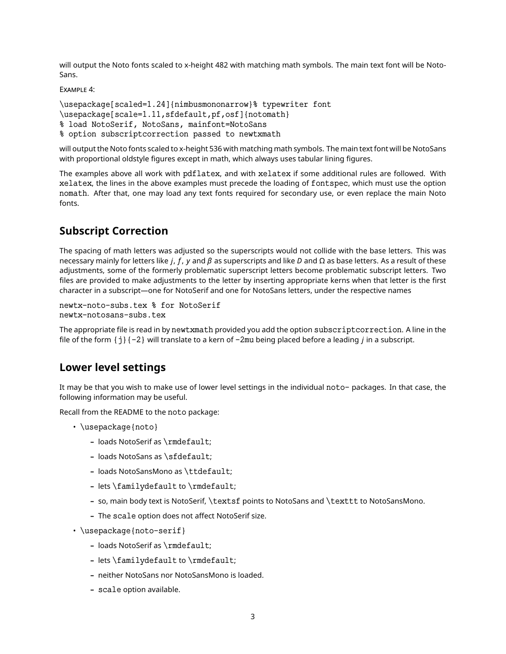will output the Noto fonts scaled to x-height 482 with matching math symbols. The main text font will be Noto-Sans.

EXAMPLE 4:

```
\usepackage[scaled=1.24]{nimbusmononarrow}% typewriter font
\usepackage[scale=1.11,sfdefault,pf,osf]{notomath}
% load NotoSerif, NotoSans, mainfont=NotoSans
% option subscriptcorrection passed to newtxmath
```
will output the Noto fonts scaled to x-height 536 with matching math symbols. The main text font will be NotoSans with proportional oldstyle figures except in math, which always uses tabular lining figures.

The examples above all work with pdflatex, and with xelatex if some additional rules are followed. With xelatex, the lines in the above examples must precede the loading of fontspec, which must use the option nomath. After that, one may load any text fonts required for secondary use, or even replace the main Noto fonts.

# **Subscript Correction**

The spacing of math letters was adjusted so the superscripts would not collide with the base letters. This was necessary mainly for letters like *i, f, y* and  $\beta$  as superscripts and like D and  $\Omega$  as base letters. As a result of these adjustments, some of the formerly problematic superscript letters become problematic subscript letters. Two files are provided to make adjustments to the letter by inserting appropriate kerns when that letter is the first character in a subscript—one for NotoSerif and one for NotoSans letters, under the respective names

```
newtx-noto-subs.tex % for NotoSerif
newtx-notosans-subs.tex
```
The appropriate file is read in by newtxmath provided you add the option subscriptcorrection. A line in the file of the form  $\{j\}$   $\{-2\}$  will translate to a kern of  $-2$ mu being placed before a leading *i* in a subscript.

### **Lower level settings**

It may be that you wish to make use of lower level settings in the individual noto- packages. In that case, the following information may be useful.

Recall from the README to the noto package:

- \usepackage{noto}
	- **–** loads NotoSerif as \rmdefault;
	- **–** loads NotoSans as \sfdefault;
	- **–** loads NotoSansMono as \ttdefault;
	- **–** lets \familydefault to \rmdefault;
	- **–** so, main body text is NotoSerif, \textsf points to NotoSans and \texttt to NotoSansMono.
	- **–** The scale option does not affect NotoSerif size.
- \usepackage{noto-serif}
	- **–** loads NotoSerif as \rmdefault;
	- **–** lets \familydefault to \rmdefault;
	- **–** neither NotoSans nor NotoSansMono is loaded.
	- **–** scale option available.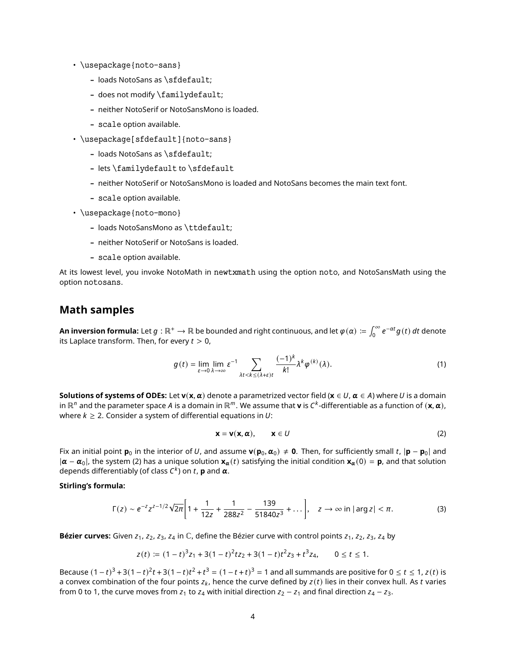- \usepackage{noto-sans}
	- **–** loads NotoSans as \sfdefault;
	- **–** does not modify \familydefault;
	- **–** neither NotoSerif or NotoSansMono is loaded.
	- **–** scale option available.
- \usepackage[sfdefault]{noto-sans}
	- **–** loads NotoSans as \sfdefault;
	- **–** lets \familydefault to \sfdefault
	- **–** neither NotoSerif or NotoSansMono is loaded and NotoSans becomes the main text font.
	- **–** scale option available.
- \usepackage{noto-mono}
	- **–** loads NotoSansMono as \ttdefault;
	- **–** neither NotoSerif or NotoSans is loaded.
	- **–** scale option available.

At its lowest level, you invoke NotoMath in newtxmath using the option noto, and NotoSansMath using the option notosans.

### **Math samples**

**An inversion formula:** Let  $g:\R^+\to\R$  be bounded and right continuous, and let  $\varphi(\alpha)\coloneqq\int_0^\infty e^{-\alpha t}g(t)\,dt$  denote its Laplace transform. Then, for every  $t > 0$ ,

$$
g(t) = \lim_{\varepsilon \to 0} \lim_{\lambda \to \infty} \varepsilon^{-1} \sum_{\lambda t < k \le (\lambda + \varepsilon)t} \frac{(-1)^k}{k!} \lambda^k \varphi^{(k)}(\lambda). \tag{1}
$$

**Solutions of systems of ODEs:** Let  $\mathbf{v}(\mathbf{x}, \alpha)$  denote a parametrized vector field ( $\mathbf{x} \in U$ ,  $\alpha \in A$ ) where U is a domain in ℝ $^n$  and the parameter space A is a domain in ℝ $^m$ . We assume that **v** is C<sup>k</sup>-differentiable as a function of (**x**, **α**), where  $k \geq 2$ . Consider a system of differential equations in U:

$$
\mathbf{x} = \mathbf{v}(\mathbf{x}, \alpha), \qquad \mathbf{x} \in U
$$
 (2)

Fix an initial point **p**<sub>0</sub> in the interior of U, and assume **v**( $\mathbf{p}_0$ ,  $\alpha_0$ )  $\neq$  **0**. Then, for sufficiently small t,  $|\mathbf{p} - \mathbf{p}_0|$  and  $|\alpha - \alpha_0|$ , the system (2) has a unique solution  $\mathbf{x}_\alpha(t)$  satisfying the initial condition  $\mathbf{x}_\alpha(0) = \mathbf{p}$ , and that solution depends differentiably (of class  $C^k$ ) on  $t$ , **p** and  $\boldsymbol{\alpha}$ .

#### **Stirling's formula:**

$$
\Gamma(z) \sim e^{-z} z^{z-1/2} \sqrt{2\pi} \bigg[ 1 + \frac{1}{12z} + \frac{1}{288z^2} - \frac{139}{51840z^3} + \dots \bigg], \quad z \to \infty \text{ in } |\arg z| < \pi. \tag{3}
$$

**Bézier curves:** Given  $z_1$ ,  $z_2$ ,  $z_3$ ,  $z_4$  in  $\mathbb{C}$ , define the Bézier curve with control points  $z_1$ ,  $z_2$ ,  $z_3$ ,  $z_4$  by

$$
z(t) := (1-t)^3 z_1 + 3(1-t)^2 t z_2 + 3(1-t) t^2 z_3 + t^3 z_4, \qquad 0 \le t \le 1.
$$

Because  $(1-t)^3 + 3(1-t)^2t + 3(1-t)t^2 + t^3 = (1-t+t)^3 = 1$  and all summands are positive for 0 ≤ t ≤ 1, z(t) is a convex combination of the four points  $z_k$ , hence the curve defined by  $z(t)$  lies in their convex hull. As t varies from 0 to 1, the curve moves from  $z_1$  to  $z_4$  with initial direction  $z_2 - z_1$  and final direction  $z_4 - z_3$ .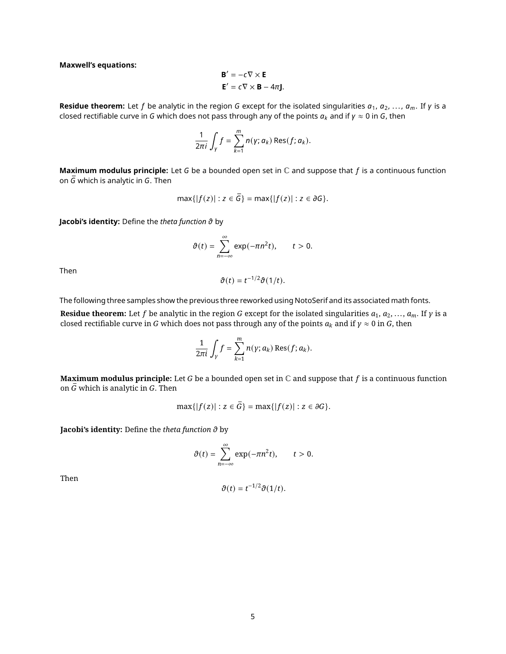**Maxwell's equations:**

$$
\mathbf{B}' = -c \nabla \times \mathbf{E}
$$

$$
\mathbf{E}' = c \nabla \times \mathbf{B} - 4\pi \mathbf{J}.
$$

**Residue theorem:** Let f be analytic in the region G except for the isolated singularities  $a_1, a_2, ..., a_m$ . If  $\gamma$  is a closed rectifiable curve in G which does not pass through any of the points  $a_k$  and if  $\gamma \approx 0$  in G, then

$$
\frac{1}{2\pi i}\int_Y f=\sum_{k=1}^m n(y;a_k)\operatorname{Res}(f;a_k).
$$

**Maximum modulus principle:** Let *G* be a bounded open set in ℂ and suppose that *f* is a continuous function on  $\overline{G}$  which is analytic in G. Then

$$
\max\{|f(z)| : z \in \overline{G}\} = \max\{|f(z)| : z \in \partial G\}.
$$

**Jacobi's identity:** Define the *theta function* by

$$
\vartheta(t)=\sum_{n=-\infty}^{\infty}\exp(-\pi n^2t),\qquad t>0.
$$

Then

$$
\vartheta(t)=t^{-1/2}\vartheta(1/t).
$$

The following three samples show the previous three reworked using NotoSerif and its associated math fonts.

**Residue theorem:** Let f be analytic in the region G except for the isolated singularities  $a_1, a_2, ..., a_m$ . If  $\gamma$  is a closed rectifiable curve in G which does not pass through any of the points  $a_k$  and if  $\gamma \approx 0$  in G, then

$$
\frac{1}{2\pi i}\int_{\gamma}f=\sum_{k=1}^m n(\gamma;a_k)\operatorname{Res}(f;a_k).
$$

**Maximum modulus principle:** Let G be a bounded open set in  $\mathbb C$  and suppose that f is a continuous function on  $\bar{G}$  which is analytic in G. Then

$$
\max\{|f(z)| : z \in \overline{G}\} = \max\{|f(z)| : z \in \partial G\}.
$$

**Jacobi's identity:** Define the *theta function*  $\vartheta$  by

$$
\vartheta(t)=\sum_{n=-\infty}^{\infty}\exp(-\pi n^2t),\qquad t>0.
$$

Then

$$
\vartheta(t)=t^{-1/2}\vartheta(1/t).
$$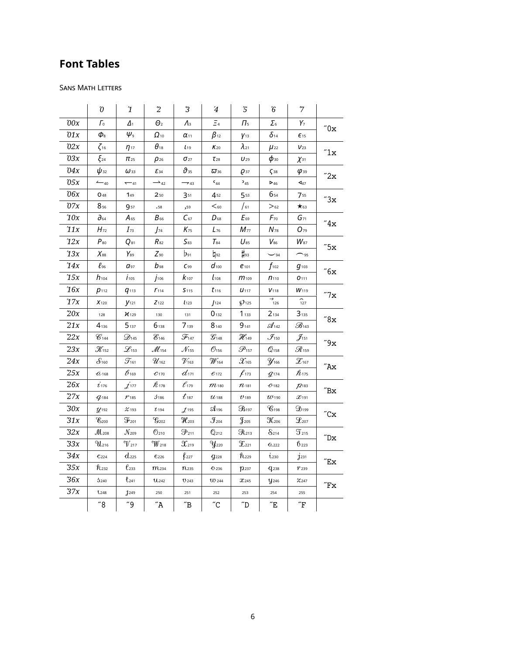# **Font Tables**

### SANS MATH LETTERS

|       | $\mathcal{O}% _{M}\left( t\right)$ | $\mathbf 1$                    | $\overline{c}$                             | 3                             | $\bf 4$                    | $\sqrt{5}$                 | ${\bf \hat{6}}$              | $\boldsymbol{7}$            |                              |
|-------|------------------------------------|--------------------------------|--------------------------------------------|-------------------------------|----------------------------|----------------------------|------------------------------|-----------------------------|------------------------------|
| 00x   | Гo                                 | $\Delta_1$                     | $\Theta_2$                                 | $\Lambda$                     | $\Xi_4$                    | $\Pi_{5}$                  | $\Sigma_{6}$                 | $Y_7$                       | $^{\prime\prime}0\mathrm{x}$ |
| 01x   | $\pmb{\phi}_{8}$                   | $\psi_{\scriptscriptstyle{9}}$ | $\Omega$ <sub>10</sub>                     | $\alpha_{11}$                 | $\beta_{12}$               | $y_{13}$                   | $\delta$ 14                  | $E_{15}$                    |                              |
| 02x   | $\zeta_{16}$                       | $\eta_{17}$                    | $\theta_{18}$                              | $L_{19}$                      | $K_{20}$                   | $\lambda_{21}$             | $\mu_{22}$                   | $V_{23}$                    | $^{\prime\prime}1x$          |
| 03x   | $\xi_{24}$                         | $\pi_{25}$                     | $\rho_{26}$                                | $\sigma_{27}$                 | $\tau_{28}$                | $U_{29}$                   | $\phi$ <sub>30</sub>         | $\chi$ <sub>31</sub>        |                              |
| 04x   | $\psi_{32}$                        | $\omega$ 33                    | $\mathcal{E}_{34}$                         | $\vartheta_{35}$              | $\varpi$ 36                | $Q$ 37                     | $\zeta$ <sub>38</sub>        | $\varphi$ <sub>39</sub>     |                              |
| $05x$ | $-40$                              | $-41$                          | $\rightarrow$ 42                           | $\rightarrow$ 43              | $C_{44}$                   | $5_{45}$                   | $\triangleright$ 46          | $\triangleleft$ 47          | "2x                          |
| 06x   | O <sub>48</sub>                    | 149                            | 250                                        | 351                           | 452                        | 553                        | 654                          | 755                         | "3x                          |
| 07x   | $8_{56}$                           | 957                            | .58                                        | ,59                           | $60$                       | $\int$ 61                  | $>_{62}$                     | $\star$ 63                  |                              |
| 10x   | $\partial{\scriptstyle_{64}}$      | $A_{65}$                       | $B_{66}$                                   | $C_{67}$                      | $D_{68}$                   | $E_{69}$                   | $F_{70}$                     | $G_{71}$                    | $^{\prime\prime}4x$          |
| 11x   | $H_{72}$                           | $I_{73}$                       | $J_{74}$                                   | $K_{75}$                      | $L_{76}$                   | $M_{77}$                   | $N_{\rm 78}$                 | $O_{\rm 79}$                |                              |
| 12x   | $P_{80}$                           | $Q_{81}$                       | $R_{82}$                                   | $S_{83}$                      | $T_{84}$                   | $U_{85}$                   | $V_{86}$                     | $W_{\rm 87}$                | "5x                          |
| 13x   | $X_{88}$                           | $Y_{89}$                       | $Z_{90}$                                   | $b_{91}$                      | $h_{92}$                   | $\sharp$ 93                | $\sim$ 94                    | $\sim$ 95                   |                              |
| 14x   | $\ell$ 96                          | $a_{97}$                       | $b_{98}$                                   | $C_{99}$                      | $d_{100}$                  | $e_{101}$                  | $f_{102}$                    | $g_{103}$                   | $^{\prime\prime}6x$          |
| 15x   | $h_{104}$                          | $j_{105}$                      | $j_{106}$                                  | $k_{107}$                     | $\pmb{l}_{108}$            | $m_{109}$                  | $n_{110}$                    | 0111                        |                              |
| 16x   | $p_{112}$                          | $q_{113}$                      | $r_{114}$                                  | S <sub>115</sub>              | $t_{116}$                  | $U$ <sub>117</sub>         | $V$ 118                      | W <sub>119</sub>            |                              |
| $17x$ | $X_{120}$                          | $y_{121}$                      | $Z$ 122                                    | l <sub>123</sub>              | $J$ 124                    | $\wp$ <sub>125</sub>       | $\rightarrow$ <sub>126</sub> | $\widehat{127}$             | "7x                          |
| 20x   | 128                                | $\chi$ 129                     | 130                                        | 131                           | $0_{132}$                  | 1133                       | 2134                         | 3135                        | "8x                          |
| 21x   | $4_{136}$                          | 5137                           | 6138                                       | 7 139                         | $8_{140}$                  | $9_{141}$                  | $\mathcal{A}_{142}$          | $\mathcal{B}_{143}$         |                              |
| 22x   | $\mathscr{C}_{144}$                | $\mathcal{D}_{145}$            | $\mathscr{E}_{146}$                        | $\mathcal{F}_{147}$           | $\mathcal{G}_{^{148}}$     | $\mathcal{H}_{^{149}}$     | $\mathcal{J}_{\textrm{150}}$ | $\mathcal{J}_{^{151}}$      | $^{\prime\prime}9x$          |
| 23x   | $\mathcal{K}_{^{152}}$             | $\mathscr{L}_{153}$            | $\mathcal{M}_{154}$                        | $\mathcal{N}_{155}$           | $\mathcal{O}_{156}$        | $\mathscr{P}_\textrm{157}$ | $\mathcal{Q}_\text{158}$     | $\mathscr{R}_\textrm{159}$  |                              |
| 24x   | $\mathcal{S}_{160}$                | $\mathcal{T}_{161}$            | $\mathcal{U}_\textrm{162}$                 | $\mathcal{V}_{163}$           | $\mathcal{W}_\textrm{164}$ | $\mathcal{X}_\textrm{165}$ | $y_{166}$                    | $\mathcal{Z}$ 167           | $^{\prime\prime}$ Ax         |
| 25x   | $\hat{a}$ 168                      | $\mathcal{B}_{169}$            | $\mathcal{C}$ 170                          | $d_{171}$                     | $e_{172}$                  | $f_{173}$                  | $q$ <sub>174</sub>           | ${\not\!{\cal R}}_{175}$    |                              |
| 26x   | $\dot{\iota}_{\rm 176}$            | $\dot{\mathcal{J}}$ 177        | ${\not\!{\cal R}}_{178}$                   | $\ell_{179}$                  | $m_{180}$                  | $n_{181}$                  | $O$ -182                     | 72183                       | $^{\prime\prime}$ Bx         |
| 27x   | $q_{184}$                          | 1185                           | 3186                                       | $\boldsymbol{t}_{\text{187}}$ | $u_{188}$                  | U <sub>189</sub>           | $u_{190}$                    | $x_{191}$                   |                              |
| $30x$ | $\mathcal{Y}$ 192                  | $\chi$ 193                     | $t$ 194                                    | I <sup>195</sup>              | $\mathfrak{A}_{196}$       | $\mathfrak{B}_{197}$       | $\mathscr{C}_{198}$          | $\mathfrak{D}_\textrm{199}$ | $^{\prime\prime}$ Cx         |
| 31x   | $\mathscr{C}_{200}$                | $\mathfrak{F}_{201}$           | $\mathcal{G}_{\text{202}}$                 | $\mathcal{H}_{203}$           | $\mathcal{F}_\text{204}$   | $\mathfrak{F}_{205}$       | $\mathcal{K}_{^{206}}$       | $\mathcal{L}_{207}$         |                              |
| 32x   | $\mathcal{M}_{208}$                | $\mathcal{N}_{\text{209}}$     | $6_{210}$                                  | $\mathfrak{P}_{211}$          | $\mathbb{Q}_{212}$         | $\Re$ <sub>213</sub>       | $8_{214}$                    | $\mathfrak{T}_{215}$        | $^{\prime\prime}$ Dx         |
| 33x   | $\mathfrak{N}_{216}$               | $\gamma_{217}$                 | $\rm \gamma\!\!\!\gamma\!\!\!\gamma_{218}$ | $\mathfrak{X}_{219}$          | $y_{220}$                  | $\mathfrak{T}_{221}$       | 0.222                        | 6223                        |                              |
| 34x   | C <sub>224</sub>                   | $d_{225}$                      | $\mathcal{C}$ 226                          | $\rho_{227}$                  | $g_{228}$                  | $h_{229}$                  | i <sub>230</sub>             | $j$ <sub>231</sub>          | $^{\prime\prime}$ Ex         |
| $35x$ | $R_{232}$                          | $\ell$ <sub>233</sub>          | $m$ <sub>234</sub>                         | $\boldsymbol{n}$ 235          | $O$ 236                    | 12237                      | $q_{238}$                    | 1'239                       |                              |
| 36x   | 3240                               | $t_{241}$                      | $U_{242}$                                  | 0.243                         | <b>W</b> 244               | x245                       | $y_{246}$                    | $\chi_{247}$                | $^{\prime\prime}{\rm Fx}$    |
| 37x   | 1248                               | 1249                           | 250                                        | 251                           | 252                        | 253                        | 254                          | 255                         |                              |
|       | $~^{7}8$                           | "9"                            | $\sqrt{a}$                                 | ″B                            | $^{\prime\prime}$ C        | $\sqrt{\phantom{a}}$ D     | $^{\prime\prime}$ E          | $\sqrt{\mathrm{F}}$         |                              |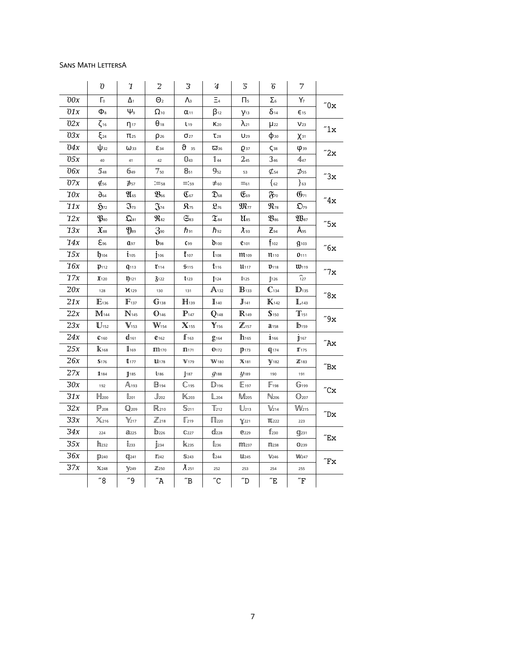### Sans Math LettersA

|       | $\boldsymbol{\hat{0}}$     | $\mathbf 1$                            | $\overline{c}$                                   | 3                     | $\bf 4$                      | $\mathfrak{\mathcal{I}}$                  | ${\bf \hat{6}}$          | 7                                                |                              |
|-------|----------------------------|----------------------------------------|--------------------------------------------------|-----------------------|------------------------------|-------------------------------------------|--------------------------|--------------------------------------------------|------------------------------|
| 00x   | $\Gamma$                   | Δ1                                     | $\Theta$ <sub>2</sub>                            | $\Lambda$             | $\Xi_4$                      | $\Pi_5$                                   | $\Sigma_6$               | Y,                                               |                              |
| $01x$ | $\Phi_{\rm 8}$             | $\psi_{\scriptscriptstyle{9}}$         | $\Omega_{10}$                                    | $\alpha_{11}$         | $\beta_{12}$                 | Y <sub>13</sub>                           | $\delta$ <sub>14</sub>   | $E_{15}$                                         | $^{\prime\prime}0\mathrm{x}$ |
| 02x   | $\zeta_{16}$               | $n_{17}$                               | $\theta_{18}$                                    | $L_{19}$              | K <sub>20</sub>              | $\lambda_{21}$                            | $\mu_{22}$               | V <sub>23</sub>                                  | "1x                          |
| 0.3x  | $\xi_{24}$                 | $\Pi$ <sub>25</sub>                    | $\rho_{26}$                                      | $\sigma_{27}$         | $\mathsf{T}_{28}$            | U <sub>29</sub>                           | фзо                      | $X$ 31                                           |                              |
| 04x   | $\Psi$ <sub>32</sub>       | $\omega$ <sub>33</sub>                 | E <sub>34</sub>                                  | $\vartheta$ 35        | $\overline{\mathbf{w}}$ 36   | Q 37                                      | $\zeta$ <sub>38</sub>    | <b>φ39</b>                                       | "2x                          |
| 05x   | 40                         | 41                                     | 42                                               | $\mathbb{0}_4$ 3      | $\mathbb{1}_{44}$            | 2 <sub>45</sub>                           | 346                      | 447                                              |                              |
| 06x   | 548                        | 649                                    | 750                                              | $B_{51}$              | $\mathbf{\mathfrak{g}}_{52}$ | 53                                        | $\mathcal{L}_{54}$       | ⊅55                                              | "3x                          |
| $07x$ | $\mathfrak{E}_{56}$        | $\sharp$ <sub>57</sub>                 | $:=_{58}$                                        | $=:59$                | $\neq$ 60                    | $=$ 61                                    | $\{62$                   | $\}$ 63                                          |                              |
| $10x$ | $\partial_{64}$            | $\mathfrak{A}_{65}$                    | $\mathfrak{B}_{\scriptscriptstyle{\mathsf{66}}}$ | $\mathfrak{C}_{67}$   | $\mathfrak{D}_{68}$          | $\mathfrak{E}_{69}$                       | $\mathfrak{F}$           | $\mathfrak{G}_{71}$                              | $^{\prime\prime}4x$          |
| 11x   | $\mathfrak{H}_{72}$        | $\mathfrak{J}_{73}$                    | $\mathfrak{J}_{74}$                              | $\mathbf{R}_{75}$     | $\mathfrak{L}_{76}$          | $\mathfrak{M}_{77}$                       | $\mathfrak{N}_{^{78}}$   | $\mathfrak{D}_{79}$                              |                              |
| 12x   | $\mathfrak{P}_{\text{80}}$ | $\mathfrak{Q}_{81}$                    | $\mathfrak{R}_{82}$                              | $\mathfrak{S}_{83}$   | $\mathfrak{T}_{84}$          | $\mathfrak{U}_{\rm 85}$                   | $\mathfrak{B}_{86}$      | $\mathfrak{W}_{87}$                              |                              |
| 13x   | $\mathfrak{X}_{\text{ss}}$ | $\mathfrak{Y}_{89}$                    | 3 <sub>90</sub>                                  | $\hbar$ <sub>91</sub> | $\hbar$ <sub>92</sub>        | $\lambda$ 93                              | $Z_{94}$                 | $\mathring{\mathsf{A}}_{\scriptscriptstyle{95}}$ | "5x                          |
| 14x   | $\epsilon_{\text{96}}$     | Q97                                    | $b_{98}$                                         | $C_{99}$              | $\mathbf{b}_{100}$           | <b>C101</b>                               | $f_{102}$                | g <sub>103</sub>                                 | "6x                          |
| 15x   | $b_{104}$                  | $\mathbf{i}_{105}$                     | $\mathbf{i}$ <sup>106</sup>                      | $t_{107}$             | I <sub>108</sub>             | <b>111</b> 109                            | 11 <sub>110</sub>        | D <sub>111</sub>                                 |                              |
| 16x   | $p_{112}$                  | q <sub>113</sub>                       | $r_{114}$                                        | \$115                 | $t_{116}$                    | 11117                                     | $\mathfrak{v}_{118}$     | $\mathfrak{w}_{119}$                             | "7x                          |
| 17x   | $\mathfrak{X}_{120}$       | 1)121                                  | 3122                                             | $t_{123}$             | 1124                         | 1125                                      | J126                     | $\widehat{127}$                                  |                              |
| 20x   | 128                        | $\mathcal{U}_{129}$                    | 130                                              | 131                   | $A_{132}$                    | $\mathbb{B}_{133}$                        | $\mathbb{C}_{134}$       | $\mathbb{D}_{\text{135}}$                        | $^{\prime\prime}8\rm{x}$     |
| 21x   | $E_{136}$                  | $\mathbb{F}_$ 137                      | $\mathbb{G}_{^{138}}$                            | H <sub>139</sub>      | $\mathbb{I}_{140}$           | J <sub>141</sub>                          | $\mathbb{K}$ 142         | $\mathbb{L}$ 143                                 |                              |
| 22x   | $M_{144}$                  | $\mathbb{N}_{\scriptscriptstyle{145}}$ | $0_{146}$                                        | $\mathbb{P}_{^{147}}$ | $\mathbb{Q}_$ <sub>148</sub> | $\mathbb{R}_{149}$                        | S <sub>150</sub>         | $T_{151}$                                        | $^{\prime\prime}9x$          |
| 23x   | $\mathbf{U}_{152}$         | $V_{153}$                              | $W_{154}$                                        | $\mathbb{X}_1$ 55     | $\mathbf{Y}_{156}$           | $\mathbb{Z}$ <sub>157</sub>               | <b>a</b> <sub>158</sub>  | $b_{159}$                                        |                              |
| 24x   | $C$ 160                    | $d_{161}$                              | $e_{162}$                                        | $\mathbf{f}_{163}$    | $g_{164}$                    | ${\color{blue}\mathbf{h}}_{\mathbf{165}}$ | 11166                    | $j$ <sub>167</sub>                               | $^{\prime\prime}$ Ax         |
| 25x   | $\mathbf{k}_{168}$         | $\mathbf{I}_{169}$                     | <b>m</b> 170                                     | $m$ <sub>171</sub>    | 0172                         | $p_{173}$                                 | $q_{174}$                | $\mathbb{T}$ 175                                 |                              |
| 26x   | \$176                      | $t_{177}$                              | <b>L1178</b>                                     | V <sub>179</sub>      | W <sub>180</sub>             | X 181                                     | V <sub>182</sub>         | $\mathbb{Z}$ 183                                 | $^{\prime\prime}$ Bx         |
| 27x   | 11184                      | $\mathbb{I}$ 185                       | L <sub>186</sub>                                 | 187                   | $q_{188}$                    | $y_{189}$                                 | 190                      | 191                                              |                              |
| 30x   | 192                        | $A_{193}$                              | $\mathbb{B}_{194}$                               | $\mathbb{C}_{195}$    | $D_{196}$                    | $E_{197}$                                 | $\mathbb{F}_{198}$       | $\mathbb{G}_{199}$                               | $^{\prime\prime}$ Cx         |
| 31x   | H <sub>200</sub>           | $\mathbb{I}_{201}$                     | $\mathbb{J}_{202}$                               | K <sub>203</sub>      | $L_{204}$                    | M <sub>205</sub>                          | $N_{206}$                | $\mathbb{O}_{207}$                               |                              |
| 32x   | $\mathbb{P}_{208}$         | $\mathbb{Q}_{209}$                     | R <sub>210</sub>                                 | $\mathbb{S}_{211}$    | $T_{212}$                    | $\bigcup_{213}$                           | $\mathbb{V}_{214}$       | $W_{215}$                                        | $^{\prime\prime}$ Dx         |
| 33x   | $\chi_{216}$               | $\mathbb{Y}_{217}$                     | $\mathbb{Z}_{218}$                               | $\mathbb{F}_{219}$    | $\Box$ 220                   | $\gamma$ <sub>221</sub>                   | <b>TU</b> <sub>222</sub> | 223                                              |                              |
| 34x   | 224                        | a225                                   | $b_{226}$                                        | $\mathbb{C}$ 227      | dl <sub>228</sub>            | <b>@229</b>                               | $f_{230}$                | <b>C</b> [231                                    | $^{\prime\prime}$ Ex         |
| $35x$ | h <sub>232</sub>           | l233                                   | $\mathbf{J}$ <sub>234</sub>                      | <b>K235</b>           | $\mathbb{I}$ <sub>236</sub>  | m237                                      | m <sub>238</sub>         | <b>1239</b>                                      |                              |
| 36x   | D <sub>240</sub>           | <b>C</b> 241                           | $\mathbb{r}_{242}$                               | S <sub>243</sub>      | \$1244                       | <b>U</b> 245                              | V <sub>246</sub>         | W <sub>247</sub>                                 | $^{\prime\prime}{\rm Fx}$    |
| 37x   | X248                       | $\mathbb{Y}$ 249                       | Z250                                             | $\tilde{\Lambda}$ 251 | 252                          | 253                                       | 254                      | 255                                              |                              |
|       | $^{\prime\prime}8$         | "9"                                    | $\sqrt{a}$                                       | $\sqrt{B}$            | $^{\prime\prime}$ C          | $\sqrt{\phantom{a}}$ D                    | $^{\prime\prime}$ E      | $\sqrt{\text{F}}$                                |                              |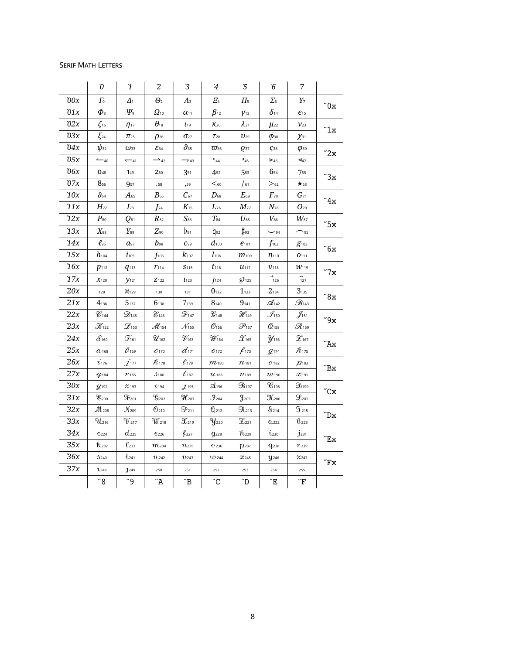#### Serif Math Letters

|       | $\boldsymbol{\hat{0}}$         | $\mathbf 1$                       | $2\,$                               | 3                            | $\overline{4}$           | $\sqrt{5}$                 | ${\bf \hat{6}}$                         | $\boldsymbol{7}$               |                              |
|-------|--------------------------------|-----------------------------------|-------------------------------------|------------------------------|--------------------------|----------------------------|-----------------------------------------|--------------------------------|------------------------------|
| 00x   | $\Gamma_{0}$                   | $\varDelta_1$                     | $\Theta$ <sub>2</sub>               | $\Lambda$                    | E <sub>4</sub>           | $\Pi_{5}$                  | $\Sigma_{\scriptscriptstyle{6}}$        | $Y_7$                          | $^{\prime\prime}0\mathrm{x}$ |
| $01x$ | $\Phi_{\scriptscriptstyle{8}}$ | $\varPsi_{\scriptscriptstyle{9}}$ | $\varOmega_{\scriptscriptstyle 10}$ | $\alpha_{11}$                | $\beta_{12}$             | $\mathcal{V}$ 13           | $\delta$ 14                             | $\epsilon_{15}$                |                              |
| 02x   | $\zeta_{16}$                   | $\eta_{17}$                       | $\theta_{18}$                       | $L_{19}$                     | $K_{20}$                 | $\lambda_{21}$             | $\mu_{22}$                              | $\mathcal{V}_{23}$             | $^{\prime\prime}1x$          |
| 03x   | $\xi_{24}$                     | $\pi_{25}$                        | $\rho_{26}$                         | $\sigma_{27}$                | $\tau_{28}$              | $U_{29}$                   | $\phi$ <sub>30</sub>                    | $\chi_{31}$                    |                              |
| 04x   | $\psi_{32}$                    | $\omega$ <sub>33</sub>            | $\mathcal{E}_{34}$                  | $\vartheta_{35}$             | $\varpi_{36}$            | $Q$ 37                     | $\zeta$ <sub>38</sub>                   | $\varphi$ <sub>39</sub>        |                              |
| 05x   | $-40$                          | $-41$                             | $\rightarrow$ 42                    | $\rightarrow$ 43             | $C_{44}$                 | $5_{45}$                   | $\triangleright$ 46                     | 447                            | "2x                          |
| 06x   | <b>048</b>                     | 149                               | 250                                 | 351                          | 4 <sub>52</sub>          | 553                        | $6_{54}$                                | 755                            | "3x                          |
| 07x   | 856                            | 957                               | .58                                 | ,59                          | $60$                     | $\int$ 61                  | $>_{62}$                                | $\star$ 63                     |                              |
| 10x   | $\partial{\scriptstyle_{64}}$  | $A_{65}$                          | $B_{\scriptscriptstyle 66}$         | $C_{67}$                     | $D_{68}$                 | $E_{69}$                   | $\mathcal{F}_{^{70}}$                   | $G_{71}$                       | "4x                          |
| 11x   | $H_{72}$                       | $\mathcal{I}_{^{73}}$             | $J_{74}$                            | $K_{75}$                     | $L_{76}$                 | $M_{\rm 77}$               | $N_{^{78}}$                             | $O_{79}$                       |                              |
| 12x   | $\mathfrak{P}_{\rm 80}$        | $Q_{81}$                          | $R_{82}$                            | $S_{83}$                     | $T_{84}$                 | $U_{85}$                   | $V_{\rm 86}$                            | $W_{\rm 87}$                   |                              |
| 13x   | $X_{88}$                       | $Y_{89}$                          | $Z_{90}$                            | $b_{91}$                     | $\natural$ 92            | $\sharp$ 93                | $\sim$ 94                               | $\sim$ 95                      | "5x                          |
| 14x   | $\ell$ 96                      | $a_{97}$                          | $b$ 98                              | $C_{99}$                     | $d_{100}$                | $e_{101}$                  | $f_{102}$                               | $g_{103}$                      | $^{\prime\prime}6x$          |
| 15x   | $h_{104}$                      | $i_{105}$                         | $j$ 106                             | $k_{107}$                    | $l_{108}$                | $m_{109}$                  | $n_{110}$                               | O <sub>111</sub>               |                              |
| 16x   | $p_{112}$                      | $q_{113}$                         | $r_{114}$                           | S <sub>115</sub>             | $t_{116}$                | $u_{117}$                  | V <sub>118</sub>                        | $W$ <sub>119</sub>             |                              |
| 17x   | $X_{120}$                      | $y_{121}$                         | $Z$ <sub>122</sub>                  | l <sub>123</sub>             | $J$ <sup>124</sup>       | \$2125                     | $\rightarrow$ <sub>126</sub>            | $\widehat{127}$                | "7x                          |
| 20x   | 128                            | M <sub>129</sub>                  | 130                                 | 131                          | $0_{132}$                | $1_{133}$                  | $2_{134}$                               | $3_{135}$                      | $^{\prime\prime}8\text{x}$   |
| 21x   | $4_{136}$                      | 5137                              | 6138                                | 7139                         | $8_{140}$                | $9_{141}$                  | $\mathcal{A}_{142}$                     | $\mathcal{B}_{143}$            |                              |
| 22x   | $C_{144}$                      | $\mathcal{D}_{145}$               | $\mathscr{E}_{146}$                 | $\mathcal{F}_{147}$          | $\mathcal{G}_{148}$      | $\mathcal{H}_{149}$        | $\mathcal{J}_{\scriptscriptstyle{150}}$ | $\mathcal{J}_{^{151}}$         | $^{\prime\prime}9x$          |
| 23x   | $\mathcal{K}_{^{152}}$         | $\mathscr{L}_{153}$               | $\mathcal{M}_{154}$                 | $\mathcal{N}_{155}$          | $\mathcal{O}_\text{156}$ | $\mathscr{P}_\textrm{157}$ | $\mathcal{Q}_\textrm{158}$              | $\mathscr{R}_\textrm{159}$     |                              |
| 24x   | $S_{160}$                      | $\mathcal{T}_{161}$               | $\mathcal{U}_\textrm{162}$          | $\mathcal{V}_{163}$          | $\mathcal{W}_1$ 64       | $\mathcal{X}_\textrm{165}$ | $y_{166}$                               | $\mathcal{Z}_\textrm{167}$     | $^{\prime\prime}$ Ax         |
| 25x   | $\hat{a}$ 168                  | $\mathcal{B}_{169}$               | $C$ 170                             | $d_{171}$                    | $e_{172}$                | $f_{173}$                  | $q_{174}$                               | $h_{175}$                      |                              |
| 26x   | $\dot{\iota}$ 176              | $\dot{\mathcal{J}}$ 177           | $R_{178}$                           | $\ell_{179}$                 | $m$ <sub>180</sub>       | $n_{181}$                  | $O$ -182                                | 72183                          | $^{\prime\prime}$ Bx         |
| 27x   | $q_{184}$                      | 1185                              | 3186                                | $t_{\scriptscriptstyle 187}$ | $u_{188}$                | U <sub>189</sub>           | $u$ 190                                 | $x_{191}$                      |                              |
| 30x   | $\mathcal{Y}$ 192              | 2/193                             | $t$ 194                             | $\mathcal{J}$ 195            | A196                     | $\mathfrak{B}_{197}$       | $\mathscr{C}_{198}$                     | $\mathfrak{D}_$ <sub>199</sub> | $^{\prime\prime}$ Cx         |
| 31x   | $\mathscr{C}_{200}$            | $\mathfrak{F}_{201}$              | $\mathcal{G}_{202}$                 | $\mathcal{H}_{203}$          | $\mathfrak{F}_{204}$     | $\mathfrak{F}_{205}$       | $\mathcal{K}_{206}$                     | $\mathcal{L}_{207}$            |                              |
| 32x   | $M_{208}$                      | $\mathcal{N}_{209}$               | $6_{210}$                           | $\mathfrak{P}_{211}$         | $\mathbb{Q}_{212}$       | $\Re$ <sub>213</sub>       | $S_{214}$                               | $\mathfrak{T}_{215}$           | $^{\prime\prime}$ Dx         |
| 33x   | $\mathfrak{N}_{216}$           | $\gamma_{217}$                    | $\mathcal{W}_{218}$                 | $\mathcal{X}$ 219            | $y_{220}$                | $\mathfrak{T}_{221}$       | 0.222                                   | 6223                           |                              |
| 34x   | C <sub>224</sub>               | $d_{225}$                         | $e_{226}$                           | $\ell_{227}$                 | $q_{228}$                | $h_{229}$                  | i <sub>230</sub>                        | $j$ <sub>231</sub>             | $^{\prime\prime}$ Ex         |
| 35x   | R232                           | $\ell$ <sub>233</sub>             | m <sub>234</sub>                    | $n_{235}$                    | $O$ -236                 | $p_{237}$                  | $q_{238}$                               | 1'239                          |                              |
| $36x$ | 3240                           | $t_{241}$                         | U <sub>242</sub>                    | 0.243                        | <b>W</b> 244             | <b>X</b> 245               | $y_{246}$                               | 2247                           | $^{\prime\prime}$ Fx         |
| 37x   | 1248                           | J249                              | 250                                 | 251                          | 252                      | 253                        | 254                                     | 255                            |                              |
|       | "8"                            | "9                                | $^{\prime\prime}$ A                 | ″B                           | $^{\prime\prime}$ C      | $\sqrt{\phantom{a}}$ D     | $^{\prime\prime}{\rm E}$                | $\sqrt[r]{\mathrm{F}}$         |                              |